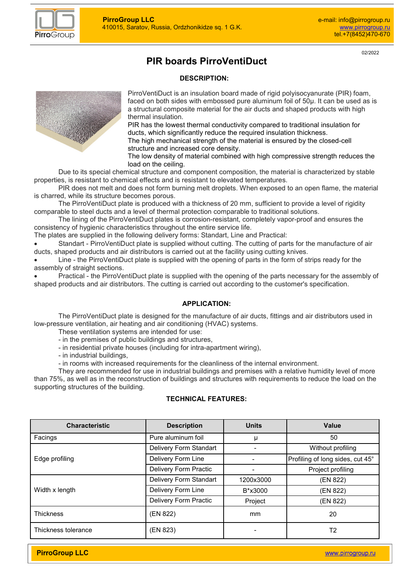

02/2022

# **PIR boards PirroVentiDuct**

#### **DESCRIPTION:**



PirroVentiDuct is an insulation board made of rigid polyisocyanurate (PIR) foam, faced on both sides with embossed pure aluminum foil of 50µ. It can be used as is a structural composite material for the air ducts and shaped products with high thermal insulation.

PIR has the lowest thermal conductivity compared to traditional insulation for ducts, which significantly reduce the required insulation thickness.

The high mechanical strength of the material is ensured by the closed-cell structure and increased core density.

The low density of material combined with high compressive strength reduces the load on the ceiling.

Due to its special chemical structure and component composition, the material is characterized by stable properties, is resistant to chemical effects and is resistant to elevated temperatures.

PIR does not melt and does not form burning melt droplets. When exposed to an open flame, the material is charred, while its structure becomes porous.

The PirroVentiDuct plate is produced with a thickness of 20 mm, sufficient to provide a level of rigidity comparable to steel ducts and a level of thermal protection comparable to traditional solutions.

The lining of the PirroVentiDuct plates is corrosion-resistant, completely vapor-proof and ensures the consistency of hygienic characteristics throughout the entire service life.

The plates are supplied in the following delivery forms: Standart, Line and Practical:

 Standart - PirroVentiDuct plate is supplied without cutting. The cutting of parts for the manufacture of air ducts, shaped products and air distributors is carried out at the facility using cutting knives.

 Line - the PirroVentiDuct plate is supplied with the opening of parts in the form of strips ready for the assembly of straight sections.

Practical - the PirroVentiDuct plate is supplied with the opening of the parts necessary for the assembly of shaped products and air distributors. The cutting is carried out according to the customer's specification.

#### **APPLICATION:**

The PirroVentiDuct plate is designed for the manufacture of air ducts, fittings and air distributors used in low-pressure ventilation, air heating and air conditioning (HVAC) systems.

These ventilation systems are intended for use:

- in the premises of public buildings and structures,
- in residential private houses (including for intra-apartment wiring),
- in industrial buildings,
- in rooms with increased requirements for the cleanliness of the internal environment.

They are recommended for use in industrial buildings and premises with a relative humidity level of more than 75%, as well as in the reconstruction of buildings and structures with requirements to reduce the load on the supporting structures of the building.

### **TECHNICAL FEATURES:**

| <b>Characteristic</b> | <b>Description</b>     | <b>Units</b> | Value                            |
|-----------------------|------------------------|--------------|----------------------------------|
| Facings               | Pure aluminum foil     | μ            | 50                               |
| Edge profiling        | Delivery Form Standart |              | Without profiling                |
|                       | Delivery Form Line     |              | Profiling of long sides, cut 45° |
|                       | Delivery Form Practic  |              | Project profiling                |
| Width x length        | Delivery Form Standart | 1200x3000    | (EN 822)                         |
|                       | Delivery Form Line     | B*x3000      | (EN 822)                         |
|                       | Delivery Form Practic  | Project      | (EN 822)                         |
| <b>Thickness</b>      | (EN 822)               | mm           | 20                               |
| Thickness tolerance   | (EN 823)               |              | T2                               |